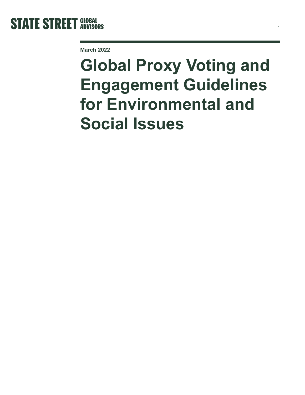

**March 2022**

# **Global Proxy Voting and Engagement Guidelines for Environmental and Social Issues**

1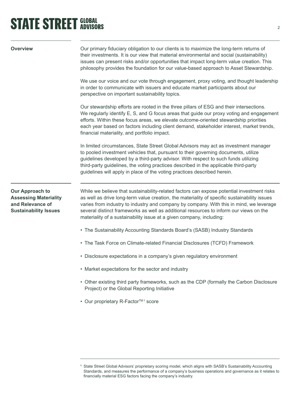# **STATE STREET GLOBAL STATE STREET GLOBAL**

| Overview                                                                                                   | Our primary fiduciary obligation to our clients is to maximize the long-term returns of<br>their investments. It is our view that material environmental and social (sustainability)<br>issues can present risks and/or opportunities that impact long-term value creation. This<br>philosophy provides the foundation for our value-based approach to Asset Stewardship.                                                                               |
|------------------------------------------------------------------------------------------------------------|---------------------------------------------------------------------------------------------------------------------------------------------------------------------------------------------------------------------------------------------------------------------------------------------------------------------------------------------------------------------------------------------------------------------------------------------------------|
|                                                                                                            | We use our voice and our vote through engagement, proxy voting, and thought leadership<br>in order to communicate with issuers and educate market participants about our<br>perspective on important sustainability topics.                                                                                                                                                                                                                             |
|                                                                                                            | Our stewardship efforts are rooted in the three pillars of ESG and their intersections.<br>We regularly identify E, S, and G focus areas that guide our proxy voting and engagement<br>efforts. Within these focus areas, we elevate outcome-oriented stewardship priorities<br>each year based on factors including client demand, stakeholder interest, market trends,<br>financial materiality, and portfolio impact.                                |
|                                                                                                            | In limited circumstances, State Street Global Advisors may act as investment manager<br>to pooled investment vehicles that, pursuant to their governing documents, utilize<br>guidelines developed by a third-party advisor. With respect to such funds utilizing<br>third-party guidelines, the voting practices described in the applicable third-party<br>guidelines will apply in place of the voting practices described herein.                   |
| <b>Our Approach to</b><br><b>Assessing Materiality</b><br>and Relevance of<br><b>Sustainability Issues</b> | While we believe that sustainability-related factors can expose potential investment risks<br>as well as drive long-term value creation, the materiality of specific sustainability issues<br>varies from industry to industry and company by company. With this in mind, we leverage<br>several distinct frameworks as well as additional resources to inform our views on the<br>materiality of a sustainability issue at a given company, including: |
|                                                                                                            | • The Sustainability Accounting Standards Board's (SASB) Industry Standards                                                                                                                                                                                                                                                                                                                                                                             |
|                                                                                                            | • The Task Force on Climate-related Financial Disclosures (TCFD) Framework                                                                                                                                                                                                                                                                                                                                                                              |
|                                                                                                            | • Disclosure expectations in a company's given regulatory environment                                                                                                                                                                                                                                                                                                                                                                                   |
|                                                                                                            | • Market expectations for the sector and industry                                                                                                                                                                                                                                                                                                                                                                                                       |
|                                                                                                            | • Other existing third party frameworks, such as the CDP (formally the Carbon Disclosure<br>Project) or the Global Reporting Initiative                                                                                                                                                                                                                                                                                                                 |
|                                                                                                            | • Our proprietary R-Factor <sup>TM1</sup> score                                                                                                                                                                                                                                                                                                                                                                                                         |

**<sup>1</sup>** State Street Global Advisors' proprietary scoring model, which aligns with SASB's Sustainability Accounting Standards, and measures the performance of a company's business operations and governance as it relates to financially material ESG factors facing the company's industry.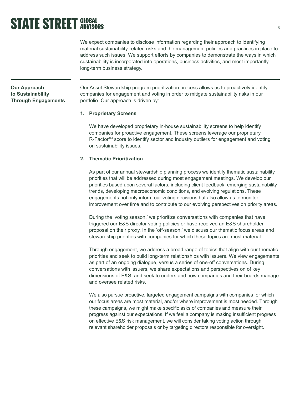### **STATE STREET GLOBAL**

We expect companies to disclose information regarding their approach to identifying material sustainability-related risks and the management policies and practices in place to address such issues. We support efforts by companies to demonstrate the ways in which sustainability is incorporated into operations, business activities, and most importantly, long-term business strategy.

### **Our Approach to Sustainability Through Engagements**

Our Asset Stewardship program prioritization process allows us to proactively identify companies for engagement and voting in order to mitigate sustainability risks in our portfolio. Our approach is driven by:

#### **1. Proprietary Screens**

We have developed proprietary in-house sustainability screens to help identify companies for proactive engagement. These screens leverage our proprietary R-Factor<sup>™</sup> score to identify sector and industry outliers for engagement and voting on sustainability issues.

### **2. Thematic Prioritization**

As part of our annual stewardship planning process we identify thematic sustainability priorities that will be addressed during most engagement meetings. We develop our priorities based upon several factors, including client feedback, emerging sustainability trends, developing macroeconomic conditions, and evolving regulations. These engagements not only inform our voting decisions but also allow us to monitor improvement over time and to contribute to our evolving perspectives on priority areas.

During the 'voting season,' we prioritize conversations with companies that have triggered our E&S director voting policies or have received an E&S shareholder proposal on their proxy. In the 'off-season,' we discuss our thematic focus areas and stewardship priorities with companies for which these topics are most material.

Through engagement, we address a broad range of topics that align with our thematic priorities and seek to build long-term relationships with issuers. We view engagements as part of an ongoing dialogue, versus a series of one-off conversations. During conversations with issuers, we share expectations and perspectives on of key dimensions of E&S, and seek to understand how companies and their boards manage and oversee related risks.

We also pursue proactive, targeted engagement campaigns with companies for which our focus areas are most material, and/or where improvement is most needed. Through these campaigns, we might make specific asks of companies and measure their progress against our expectations. If we feel a company is making insufficient progress on effective E&S risk management, we will consider taking voting action through relevant shareholder proposals or by targeting directors responsible for oversight.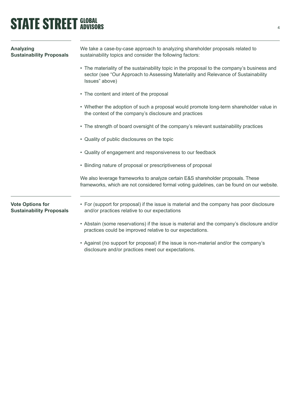## **STATE STREET GLOBAL STATE STREET GLOBAL**

| Analyzing<br><b>Sustainability Proposals</b>               | We take a case-by-case approach to analyzing shareholder proposals related to<br>sustainability topics and consider the following factors:                                                          |
|------------------------------------------------------------|-----------------------------------------------------------------------------------------------------------------------------------------------------------------------------------------------------|
|                                                            | • The materiality of the sustainability topic in the proposal to the company's business and<br>sector (see "Our Approach to Assessing Materiality and Relevance of Sustainability<br>Issues" above) |
|                                                            | • The content and intent of the proposal                                                                                                                                                            |
|                                                            | • Whether the adoption of such a proposal would promote long-term shareholder value in<br>the context of the company's disclosure and practices                                                     |
|                                                            | • The strength of board oversight of the company's relevant sustainability practices                                                                                                                |
|                                                            | • Quality of public disclosures on the topic                                                                                                                                                        |
|                                                            | • Quality of engagement and responsiveness to our feedback                                                                                                                                          |
|                                                            | • Binding nature of proposal or prescriptiveness of proposal                                                                                                                                        |
|                                                            | We also leverage frameworks to analyze certain E&S shareholder proposals. These<br>frameworks, which are not considered formal voting guidelines, can be found on our website.                      |
| <b>Vote Options for</b><br><b>Sustainability Proposals</b> | • For (support for proposal) if the issue is material and the company has poor disclosure<br>and/or practices relative to our expectations                                                          |
|                                                            | • Abstain (some reservations) if the issue is material and the company's disclosure and/or<br>practices could be improved relative to our expectations.                                             |

• Against (no support for proposal) if the issue is non-material and/or the company's disclosure and/or practices meet our expectations.